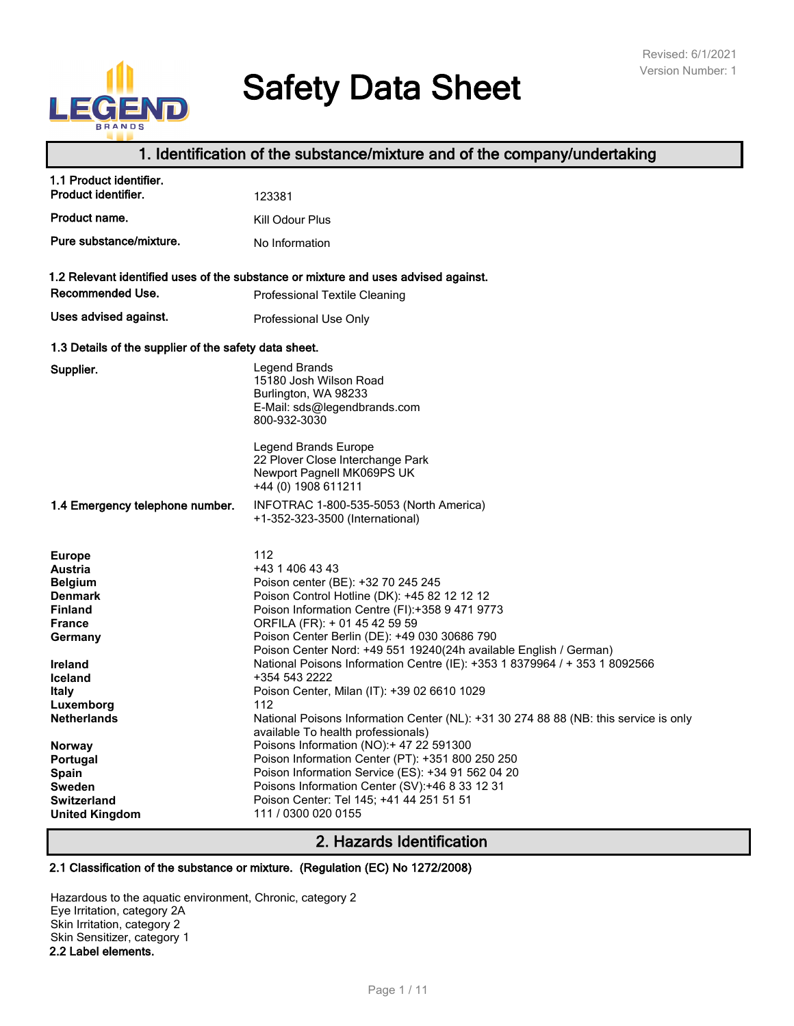# E D

# **Safety Data Sheet**

# **1. Identification of the substance/mixture and of the company/undertaking**

| 1.1 Product identifier.<br>Product identifier.                                                                                                                                                    | 123381                                                                                                                                                                                                                                                                                                                                                                                                                                                                                                                                                            |
|---------------------------------------------------------------------------------------------------------------------------------------------------------------------------------------------------|-------------------------------------------------------------------------------------------------------------------------------------------------------------------------------------------------------------------------------------------------------------------------------------------------------------------------------------------------------------------------------------------------------------------------------------------------------------------------------------------------------------------------------------------------------------------|
| Product name.                                                                                                                                                                                     | Kill Odour Plus                                                                                                                                                                                                                                                                                                                                                                                                                                                                                                                                                   |
| Pure substance/mixture.                                                                                                                                                                           | No Information                                                                                                                                                                                                                                                                                                                                                                                                                                                                                                                                                    |
| Recommended Use.                                                                                                                                                                                  | 1.2 Relevant identified uses of the substance or mixture and uses advised against.<br><b>Professional Textile Cleaning</b>                                                                                                                                                                                                                                                                                                                                                                                                                                        |
| Uses advised against.                                                                                                                                                                             |                                                                                                                                                                                                                                                                                                                                                                                                                                                                                                                                                                   |
|                                                                                                                                                                                                   | Professional Use Only                                                                                                                                                                                                                                                                                                                                                                                                                                                                                                                                             |
| 1.3 Details of the supplier of the safety data sheet.                                                                                                                                             |                                                                                                                                                                                                                                                                                                                                                                                                                                                                                                                                                                   |
| Supplier.                                                                                                                                                                                         | Legend Brands<br>15180 Josh Wilson Road<br>Burlington, WA 98233<br>E-Mail: sds@legendbrands.com<br>800-932-3030<br>Legend Brands Europe<br>22 Plover Close Interchange Park<br>Newport Pagnell MK069PS UK<br>+44 (0) 1908 611211                                                                                                                                                                                                                                                                                                                                  |
| 1.4 Emergency telephone number.                                                                                                                                                                   | INFOTRAC 1-800-535-5053 (North America)<br>+1-352-323-3500 (International)                                                                                                                                                                                                                                                                                                                                                                                                                                                                                        |
| <b>Europe</b><br><b>Austria</b><br><b>Belgium</b><br><b>Denmark</b><br><b>Finland</b><br><b>France</b><br>Germany<br>Ireland<br><b>Iceland</b><br><b>Italy</b><br>Luxemborg<br><b>Netherlands</b> | 112<br>+43 1 406 43 43<br>Poison center (BE): +32 70 245 245<br>Poison Control Hotline (DK): +45 82 12 12 12<br>Poison Information Centre (FI):+358 9 471 9773<br>ORFILA (FR): + 01 45 42 59 59<br>Poison Center Berlin (DE): +49 030 30686 790<br>Poison Center Nord: +49 551 19240(24h available English / German)<br>National Poisons Information Centre (IE): +353 1 8379964 / + 353 1 8092566<br>+354 543 2222<br>Poison Center, Milan (IT): +39 02 6610 1029<br>112<br>National Poisons Information Center (NL): +31 30 274 88 88 (NB: this service is only |
| <b>Norway</b><br>Portugal<br>Spain<br><b>Sweden</b><br><b>Switzerland</b><br><b>United Kingdom</b>                                                                                                | available To health professionals)<br>Poisons Information (NO):+ 47 22 591300<br>Poison Information Center (PT): +351 800 250 250<br>Poison Information Service (ES): +34 91 562 04 20<br>Poisons Information Center (SV):+46 8 33 12 31<br>Poison Center: Tel 145; +41 44 251 51 51<br>111 / 0300 020 0155                                                                                                                                                                                                                                                       |

# **2. Hazards Identification**

#### **2.1 Classification of the substance or mixture. (Regulation (EC) No 1272/2008)**

Hazardous to the aquatic environment, Chronic, category 2 Eye Irritation, category 2A Skin Irritation, category 2 Skin Sensitizer, category 1 **2.2 Label elements.**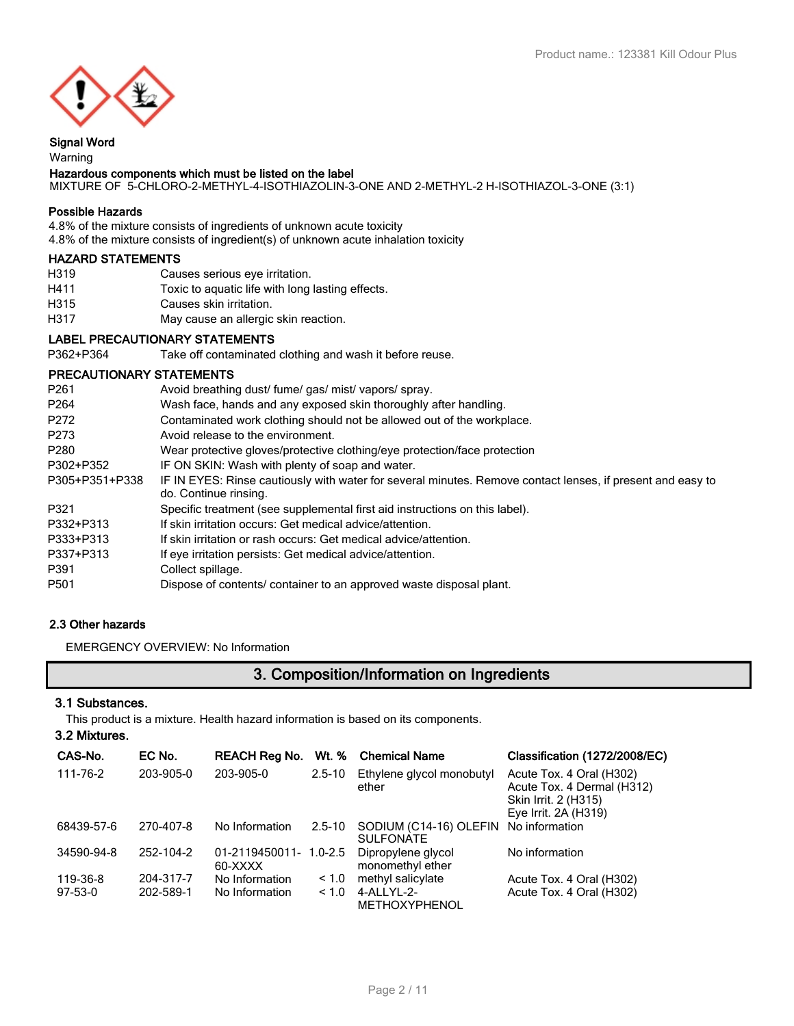

### **Signal Word**

#### Warning **Hazardous components which must be listed on the label**

# MIXTURE OF 5-CHLORO-2-METHYL-4-ISOTHIAZOLIN-3-ONE AND 2-METHYL-2 H-ISOTHIAZOL-3-ONE (3:1)

#### **Possible Hazards**

4.8% of the mixture consists of ingredients of unknown acute toxicity 4.8% of the mixture consists of ingredient(s) of unknown acute inhalation toxicity

#### **HAZARD STATEMENTS**

- H319 Causes serious eye irritation.
- H411 Toxic to aquatic life with long lasting effects.
- H315 Causes skin irritation.
- H317 May cause an allergic skin reaction.

#### **LABEL PRECAUTIONARY STATEMENTS**

P362+P364 Take off contaminated clothing and wash it before reuse.

#### **PRECAUTIONARY STATEMENTS**

| P <sub>261</sub> | Avoid breathing dust/ fume/ gas/ mist/ vapors/ spray.                                                                               |
|------------------|-------------------------------------------------------------------------------------------------------------------------------------|
| P <sub>264</sub> | Wash face, hands and any exposed skin thoroughly after handling.                                                                    |
| P272             | Contaminated work clothing should not be allowed out of the workplace.                                                              |
| P273             | Avoid release to the environment.                                                                                                   |
| P280             | Wear protective gloves/protective clothing/eye protection/face protection                                                           |
| P302+P352        | IF ON SKIN: Wash with plenty of soap and water.                                                                                     |
| P305+P351+P338   | IF IN EYES: Rinse cautiously with water for several minutes. Remove contact lenses, if present and easy to<br>do. Continue rinsing. |
| P321             | Specific treatment (see supplemental first aid instructions on this label).                                                         |
| P332+P313        | If skin irritation occurs: Get medical advice/attention.                                                                            |
| P333+P313        | If skin irritation or rash occurs: Get medical advice/attention.                                                                    |
| P337+P313        | If eye irritation persists: Get medical advice/attention.                                                                           |
| P391             | Collect spillage.                                                                                                                   |
| P501             | Dispose of contents/ container to an approved waste disposal plant.                                                                 |
|                  |                                                                                                                                     |

#### **2.3 Other hazards**

EMERGENCY OVERVIEW: No Information

# **3. Composition/Information on Ingredients**

#### **3.1 Substances.**

This product is a mixture. Health hazard information is based on its components.

| CAS-No.    | EC No.    | <b>REACH Reg No.</b>      | Wt. %       | <b>Chemical Name</b>                       | Classification (1272/2008/EC)                                                                          |
|------------|-----------|---------------------------|-------------|--------------------------------------------|--------------------------------------------------------------------------------------------------------|
| 111-76-2   | 203-905-0 | 203-905-0                 | $2.5 - 10$  | Ethylene glycol monobutyl<br>ether         | Acute Tox. 4 Oral (H302)<br>Acute Tox. 4 Dermal (H312)<br>Skin Irrit. 2 (H315)<br>Eye Irrit. 2A (H319) |
| 68439-57-6 | 270-407-8 | No Information            | $2.5 - 10$  | SODIUM (C14-16) OLEFIN<br><b>SULFONATE</b> | No information                                                                                         |
| 34590-94-8 | 252-104-2 | 01-2119450011-<br>60-XXXX | $1.0 - 2.5$ | Dipropylene glycol<br>monomethyl ether     | No information                                                                                         |
| 119-36-8   | 204-317-7 | No Information            | ~1.0        | methyl salicylate                          | Acute Tox. 4 Oral (H302)                                                                               |
| $97-53-0$  | 202-589-1 | No Information            | ~1.0        | 4-ALLYL-2-<br><b>METHOXYPHENOL</b>         | Acute Tox. 4 Oral (H302)                                                                               |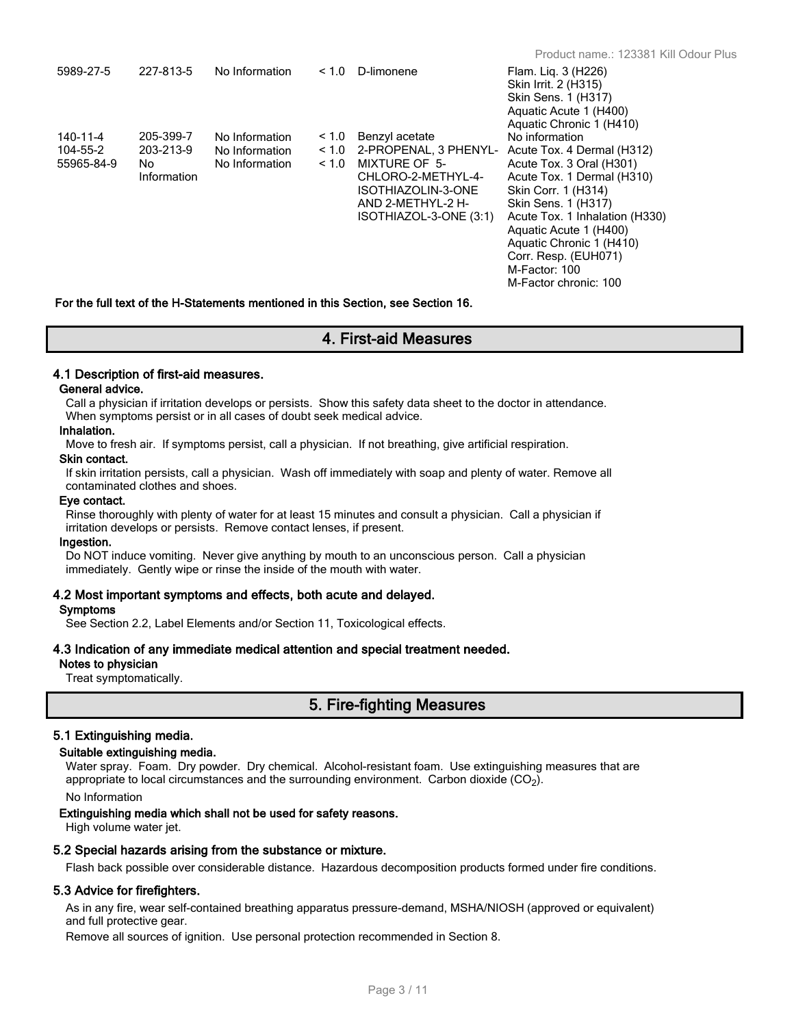| 5989-27-5                          | 227-813-5                                    | No Information                                     | < 1.0                  | D-limonene                                                                                                                                          | Flam. Lig. 3 (H226)<br>Skin Irrit. 2 (H315)<br>Skin Sens. 1 (H317)<br>Aquatic Acute 1 (H400)<br>Aquatic Chronic 1 (H410)                                                                                                                                                                                       |
|------------------------------------|----------------------------------------------|----------------------------------------------------|------------------------|-----------------------------------------------------------------------------------------------------------------------------------------------------|----------------------------------------------------------------------------------------------------------------------------------------------------------------------------------------------------------------------------------------------------------------------------------------------------------------|
| 140-11-4<br>104-55-2<br>55965-84-9 | 205-399-7<br>203-213-9<br>No.<br>Information | No Information<br>No Information<br>No Information | ~1.0<br>< 1.0<br>< 1.0 | Benzyl acetate<br>2-PROPENAL, 3 PHENYL-<br>MIXTURE OF 5-<br>CHLORO-2-METHYL-4-<br>ISOTHIAZOLIN-3-ONE<br>AND 2-METHYL-2 H-<br>ISOTHIAZOL-3-ONE (3:1) | No information<br>Acute Tox. 4 Dermal (H312)<br>Acute Tox. 3 Oral (H301)<br>Acute Tox. 1 Dermal (H310)<br>Skin Corr. 1 (H314)<br>Skin Sens. 1 (H317)<br>Acute Tox. 1 Inhalation (H330)<br>Aquatic Acute 1 (H400)<br>Aquatic Chronic 1 (H410)<br>Corr. Resp. (EUH071)<br>M-Factor: 100<br>M-Factor chronic: 100 |

**For the full text of the H-Statements mentioned in this Section, see Section 16.**

# **4. First-aid Measures**

#### **4.1 Description of first-aid measures.**

#### **General advice.**

Call a physician if irritation develops or persists. Show this safety data sheet to the doctor in attendance. When symptoms persist or in all cases of doubt seek medical advice.

#### **Inhalation.**

Move to fresh air. If symptoms persist, call a physician. If not breathing, give artificial respiration.

#### **Skin contact.**

If skin irritation persists, call a physician. Wash off immediately with soap and plenty of water. Remove all contaminated clothes and shoes.

#### **Eye contact.**

Rinse thoroughly with plenty of water for at least 15 minutes and consult a physician. Call a physician if irritation develops or persists. Remove contact lenses, if present.

#### **Ingestion.**

Do NOT induce vomiting. Never give anything by mouth to an unconscious person. Call a physician immediately. Gently wipe or rinse the inside of the mouth with water.

#### **4.2 Most important symptoms and effects, both acute and delayed.**

#### **Symptoms**

See Section 2.2, Label Elements and/or Section 11, Toxicological effects.

#### **4.3 Indication of any immediate medical attention and special treatment needed.**

#### **Notes to physician**

Treat symptomatically.

# **5. Fire-fighting Measures**

#### **5.1 Extinguishing media.**

#### **Suitable extinguishing media.**

Water spray. Foam. Dry powder. Dry chemical. Alcohol-resistant foam. Use extinguishing measures that are appropriate to local circumstances and the surrounding environment. Carbon dioxide (CO<sub>2</sub>). No Information

#### **Extinguishing media which shall not be used for safety reasons.**

High volume water jet.

#### **5.2 Special hazards arising from the substance or mixture.**

Flash back possible over considerable distance. Hazardous decomposition products formed under fire conditions.

#### **5.3 Advice for firefighters.**

As in any fire, wear self-contained breathing apparatus pressure-demand, MSHA/NIOSH (approved or equivalent) and full protective gear.

Remove all sources of ignition. Use personal protection recommended in Section 8.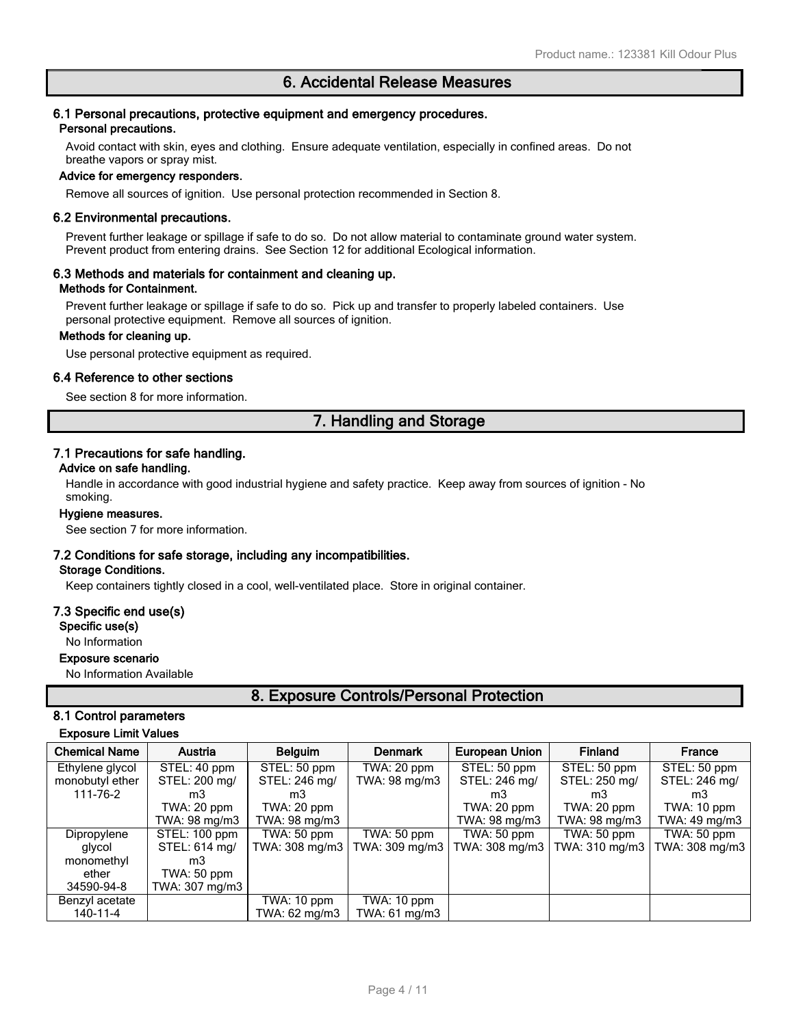#### **6.1 Personal precautions, protective equipment and emergency procedures. Personal precautions.**

Avoid contact with skin, eyes and clothing. Ensure adequate ventilation, especially in confined areas. Do not breathe vapors or spray mist.

#### **Advice for emergency responders.**

Remove all sources of ignition. Use personal protection recommended in Section 8.

#### **6.2 Environmental precautions.**

Prevent further leakage or spillage if safe to do so. Do not allow material to contaminate ground water system. Prevent product from entering drains. See Section 12 for additional Ecological information.

#### **6.3 Methods and materials for containment and cleaning up. Methods for Containment.**

Prevent further leakage or spillage if safe to do so. Pick up and transfer to properly labeled containers. Use personal protective equipment. Remove all sources of ignition.

#### **Methods for cleaning up.**

Use personal protective equipment as required.

#### **6.4 Reference to other sections**

See section 8 for more information.

# **7. Handling and Storage**

#### **7.1 Precautions for safe handling.**

#### **Advice on safe handling.**

Handle in accordance with good industrial hygiene and safety practice. Keep away from sources of ignition - No smoking.

#### **Hygiene measures.**

See section 7 for more information.

#### **7.2 Conditions for safe storage, including any incompatibilities.**

#### **Storage Conditions.**

Keep containers tightly closed in a cool, well-ventilated place. Store in original container.

#### **7.3 Specific end use(s)**

**Specific use(s)**

No Information

#### **Exposure scenario**

No Information Available

# **8. Exposure Controls/Personal Protection**

### **8.1 Control parameters**

#### **Exposure Limit Values**

| <b>Chemical Name</b> | Austria        | <b>Belguim</b> | <b>Denmark</b> | <b>European Union</b> | <b>Finland</b> | France         |
|----------------------|----------------|----------------|----------------|-----------------------|----------------|----------------|
| Ethylene glycol      | STEL: 40 ppm   | STEL: 50 ppm   | TWA: 20 ppm    | STEL: 50 ppm          | STEL: 50 ppm   | STEL: 50 ppm   |
| monobutyl ether      | STEL: 200 mg/  | STEL: 246 mg/  | TWA: 98 mg/m3  | STEL: 246 mg/         | STEL: 250 mg/  | STEL: 246 mg/  |
| 111-76-2             | m3             | m3             |                | mЗ                    | mЗ             | m3             |
|                      | TWA: 20 ppm    | TWA: 20 ppm    |                | TWA: 20 ppm           | $TWA:20$ ppm   | TWA: 10 ppm    |
|                      | TWA: 98 mg/m3  | TWA: 98 mg/m3  |                | TWA: 98 mg/m3         | TWA: 98 mg/m3  | TWA: 49 mg/m3  |
| Dipropylene          | STEL: 100 ppm  | TWA: 50 ppm    | TWA: 50 ppm    | TWA: 50 ppm           | TWA: 50 ppm    | TWA: 50 ppm    |
| glycol               | STEL: 614 mg/  | TWA: 308 mg/m3 | TWA: 309 mg/m3 | TWA: 308 mg/m3        | TWA: 310 mg/m3 | TWA: 308 mg/m3 |
| monomethyl           | mЗ             |                |                |                       |                |                |
| ether                | TWA: 50 ppm    |                |                |                       |                |                |
| 34590-94-8           | TWA: 307 mg/m3 |                |                |                       |                |                |
| Benzyl acetate       |                | TWA: 10 ppm    | TWA: 10 ppm    |                       |                |                |
| 140-11-4             |                | TWA: 62 mg/m3  | TWA: 61 mg/m3  |                       |                |                |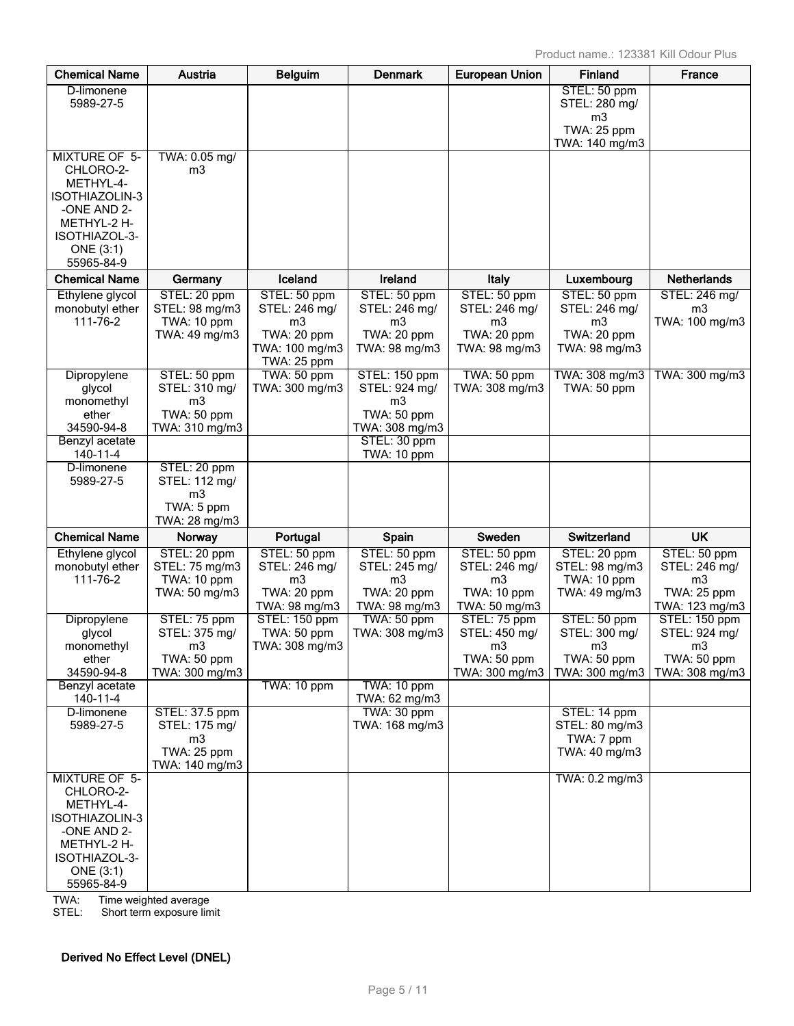| <b>Chemical Name</b>                                                                                                                       | Austria                                                                            | <b>Belguim</b>                                                                                  | <b>Denmark</b>                                                                  | <b>European Union</b>                                                           | <b>Finland</b>                                                                   | France                                                               |
|--------------------------------------------------------------------------------------------------------------------------------------------|------------------------------------------------------------------------------------|-------------------------------------------------------------------------------------------------|---------------------------------------------------------------------------------|---------------------------------------------------------------------------------|----------------------------------------------------------------------------------|----------------------------------------------------------------------|
| D-limonene<br>5989-27-5                                                                                                                    |                                                                                    |                                                                                                 |                                                                                 |                                                                                 | STEL: 50 ppm<br>STEL: 280 mg/<br>m <sub>3</sub><br>TWA: 25 ppm<br>TWA: 140 mg/m3 |                                                                      |
| <b>MIXTURE OF 5-</b><br>CHLORO-2-<br>METHYL-4-<br>ISOTHIAZOLIN-3<br>-ONE AND 2-<br>METHYL-2 H-<br>ISOTHIAZOL-3-<br>ONE (3:1)<br>55965-84-9 | TWA: 0.05 mg/<br>m3                                                                |                                                                                                 |                                                                                 |                                                                                 |                                                                                  |                                                                      |
| <b>Chemical Name</b>                                                                                                                       | Germany                                                                            | Iceland                                                                                         | Ireland                                                                         | Italy                                                                           | Luxembourg                                                                       | <b>Netherlands</b>                                                   |
| Ethylene glycol<br>monobutyl ether<br>111-76-2                                                                                             | STEL: 20 ppm<br>STEL: 98 mg/m3<br>TWA: 10 ppm<br>TWA: 49 mg/m3                     | STEL: 50 ppm<br>STEL: 246 mg/<br>m <sub>3</sub><br>TWA: 20 ppm<br>TWA: 100 mg/m3<br>TWA: 25 ppm | STEL: 50 ppm<br>STEL: 246 mg/<br>m <sub>3</sub><br>TWA: 20 ppm<br>TWA: 98 mg/m3 | STEL: 50 ppm<br>STEL: 246 mg/<br>m <sub>3</sub><br>TWA: 20 ppm<br>TWA: 98 mg/m3 | STEL: 50 ppm<br>STEL: 246 mg/<br>m <sub>3</sub><br>TWA: 20 ppm<br>TWA: 98 mg/m3  | STEL: 246 mg/<br>m <sub>3</sub><br>TWA: 100 mg/m3                    |
| Dipropylene<br>glycol<br>monomethyl<br>ether                                                                                               | STEL: 50 ppm<br>STEL: 310 mg/<br>m <sub>3</sub><br>TWA: 50 ppm                     | TWA: 50 ppm<br>TWA: 300 mg/m3                                                                   | STEL: 150 ppm<br>STEL: 924 mg/<br>m <sub>3</sub><br>TWA: 50 ppm                 | TWA: 50 ppm<br>TWA: 308 mg/m3                                                   | TWA: 308 mg/m3<br>TWA: 50 ppm                                                    | TWA: 300 mg/m3                                                       |
| 34590-94-8<br>Benzyl acetate                                                                                                               | TWA: 310 mg/m3                                                                     |                                                                                                 | TWA: 308 mg/m3<br>STEL: 30 ppm                                                  |                                                                                 |                                                                                  |                                                                      |
| 140-11-4                                                                                                                                   |                                                                                    |                                                                                                 | TWA: 10 ppm                                                                     |                                                                                 |                                                                                  |                                                                      |
| D-limonene<br>5989-27-5                                                                                                                    | STEL: 20 ppm<br>STEL: 112 mg/<br>m <sub>3</sub><br>TWA: 5 ppm<br>TWA: 28 mg/m3     |                                                                                                 |                                                                                 |                                                                                 |                                                                                  |                                                                      |
| <b>Chemical Name</b>                                                                                                                       | Norway                                                                             | Portugal                                                                                        | Spain                                                                           | Sweden                                                                          | <b>Switzerland</b>                                                               | <b>UK</b>                                                            |
| Ethylene glycol<br>monobutyl ether<br>111-76-2                                                                                             | STEL: 20 ppm<br>STEL: 75 mg/m3<br>TWA: 10 ppm<br>TWA: 50 mg/m3                     | STEL: 50 ppm<br>STEL: 246 mg/<br>m3<br>TWA: 20 ppm<br>TWA: 98 mg/m3                             | STEL: 50 ppm<br>STEL: 245 mg/<br>m <sub>3</sub><br>TWA: 20 ppm<br>TWA: 98 mg/m3 | STEL: 50 ppm<br>STEL: 246 mg/<br>m3<br>TWA: 10 ppm<br>TWA: 50 mg/m3             | STEL: 20 ppm<br>STEL: 98 mg/m3<br>TWA: 10 ppm<br>TWA: 49 mg/m3                   | STEL: 50 ppm<br>STEL: 246 mg/<br>m3<br>TWA: 25 ppm<br>TWA: 123 mg/m3 |
| Dipropylene<br>glycol<br>monomethyl                                                                                                        | STEL: 75 ppm<br>STEL: 375 mg/<br>m3                                                | STEL: 150 ppm<br>TWA: 50 ppm<br>TWA: 308 mg/m3                                                  | TWA: 50 ppm<br>TWA: 308 mg/m3                                                   | STEL: 75 ppm<br>STEL: 450 mg/<br>m <sub>3</sub>                                 | STEL: 50 ppm<br>STEL: 300 mg/<br>m <sub>3</sub>                                  | STEL: 150 ppm<br>STEL: 924 mg/<br>m <sub>3</sub>                     |
| ether<br>34590-94-8                                                                                                                        | TWA: 50 ppm<br>TWA: 300 mg/m3                                                      |                                                                                                 |                                                                                 | TWA: 50 ppm<br>TWA: 300 mg/m3                                                   | TWA: 50 ppm<br>TWA: 300 mg/m3                                                    | TWA: 50 ppm<br>TWA: 308 mg/m3                                        |
| Benzyl acetate<br>140-11-4                                                                                                                 |                                                                                    | TWA: 10 ppm                                                                                     | TWA: 10 ppm<br>TWA: 62 mg/m3                                                    |                                                                                 |                                                                                  |                                                                      |
| D-limonene<br>5989-27-5                                                                                                                    | STEL: 37.5 ppm<br>STEL: 175 mg/<br>m <sub>3</sub><br>TWA: 25 ppm<br>TWA: 140 mg/m3 |                                                                                                 | TWA: 30 ppm<br>TWA: 168 mg/m3                                                   |                                                                                 | STEL: 14 ppm<br>STEL: 80 mg/m3<br>TWA: 7 ppm<br>TWA: 40 mg/m3                    |                                                                      |
| <b>MIXTURE OF 5-</b><br>CHLORO-2-<br>METHYL-4-<br>ISOTHIAZOLIN-3<br>-ONE AND 2-<br>METHYL-2 H-<br>ISOTHIAZOL-3-<br>ONE (3:1)<br>55965-84-9 |                                                                                    |                                                                                                 |                                                                                 |                                                                                 | TWA: 0.2 mg/m3                                                                   |                                                                      |

TWA: Time weighted average

STEL: Short term exposure limit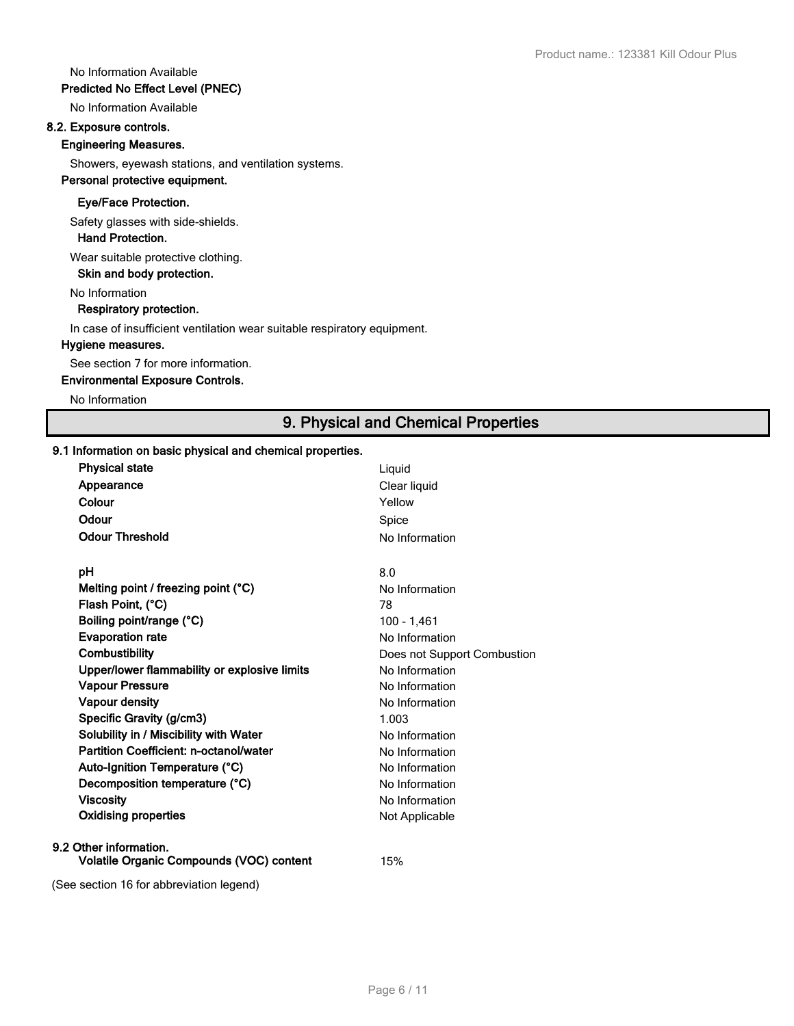#### No Information Available

#### **Predicted No Effect Level (PNEC)**

No Information Available

# **8.2. Exposure controls.**

#### **Engineering Measures.**

Showers, eyewash stations, and ventilation systems.

# **Personal protective equipment.**

#### **Eye/Face Protection.**

Safety glasses with side-shields.

 **Hand Protection.**

Wear suitable protective clothing.

 **Skin and body protection.**

No Information

#### **Respiratory protection.**

In case of insufficient ventilation wear suitable respiratory equipment.

#### **Hygiene measures.**

See section 7 for more information.

#### **Environmental Exposure Controls.**

No Information

# **9. Physical and Chemical Properties**

#### **9.1 Information on basic physical and chemical properties.**

| <b>Physical state</b>                                              | Liquid                      |
|--------------------------------------------------------------------|-----------------------------|
| Appearance                                                         | Clear liquid                |
| Colour                                                             | Yellow                      |
| Odour                                                              | Spice                       |
| <b>Odour Threshold</b>                                             | No Information              |
| рH                                                                 | 8.0                         |
| Melting point / freezing point $(°C)$                              | No Information              |
| Flash Point, (°C)                                                  | 78                          |
| Boiling point/range (°C)                                           | $100 - 1,461$               |
| <b>Evaporation rate</b>                                            | No Information              |
| Combustibility                                                     | Does not Support Combustion |
| Upper/lower flammability or explosive limits                       | No Information              |
| <b>Vapour Pressure</b>                                             | No Information              |
| Vapour density                                                     | No Information              |
| Specific Gravity (g/cm3)                                           | 1.003                       |
| Solubility in / Miscibility with Water                             | No Information              |
| Partition Coefficient: n-octanol/water                             | No Information              |
| Auto-Ignition Temperature (°C)                                     | No Information              |
| Decomposition temperature (°C)                                     | No Information              |
| <b>Viscosity</b>                                                   | No Information              |
| <b>Oxidising properties</b>                                        | Not Applicable              |
| 9.2 Other information.<br>Volatile Organic Compounds (VOC) content | 15%                         |
| (See section 16 for abbreviation legend)                           |                             |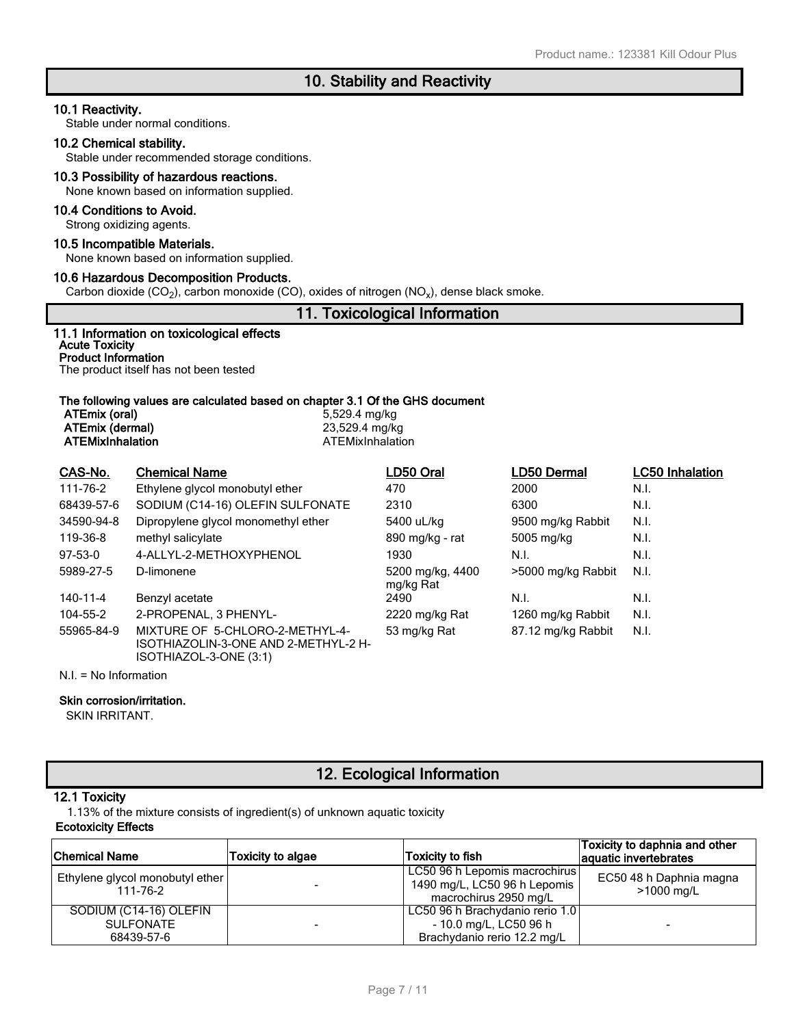#### **10.1 Reactivity.**

Stable under normal conditions.

#### **10.2 Chemical stability.**

Stable under recommended storage conditions.

#### **10.3 Possibility of hazardous reactions.**

None known based on information supplied.

#### **10.4 Conditions to Avoid.**

Strong oxidizing agents.

#### **10.5 Incompatible Materials.**

None known based on information supplied.

#### **10.6 Hazardous Decomposition Products.**

Carbon dioxide (CO<sub>2</sub>), carbon monoxide (CO), oxides of nitrogen (NO<sub>x</sub>), dense black smoke.

### **11. Toxicological Information**

| 11.1 Information on toxicological effects<br><b>Acute Toxicity</b> |  |
|--------------------------------------------------------------------|--|
| <b>Product Information</b>                                         |  |
| The product itself has not been tested                             |  |

| ATEmix (oral)<br>ATEmix (dermal)<br><b>ATEMixInhalation</b> |                      | The following values are calculated based on chapter 3.1 Of the GHS document<br>5,529.4 mg/kg<br>23,529.4 mg/kg<br>ATEMixInhalation |             |                        |  |  |
|-------------------------------------------------------------|----------------------|-------------------------------------------------------------------------------------------------------------------------------------|-------------|------------------------|--|--|
| CAS-No.                                                     | <b>Chemical Name</b> | LD50 Oral                                                                                                                           | LD50 Dermal | <b>LC50 Inhalation</b> |  |  |

|            |                                                                                                   | ---- ---                      | ---- ------        | ------------ |
|------------|---------------------------------------------------------------------------------------------------|-------------------------------|--------------------|--------------|
| 111-76-2   | Ethylene glycol monobutyl ether                                                                   | 470                           | 2000               | N.I.         |
| 68439-57-6 | SODIUM (C14-16) OLEFIN SULFONATE                                                                  | 2310                          | 6300               | N.I.         |
| 34590-94-8 | Dipropylene glycol monomethyl ether                                                               | 5400 uL/kg                    | 9500 mg/kg Rabbit  | N.I.         |
| 119-36-8   | methyl salicylate                                                                                 | 890 mg/kg - rat               | 5005 mg/kg         | N.I.         |
| $97-53-0$  | 4-ALLYL-2-METHOXYPHENOL                                                                           | 1930                          | N.I.               | N.I.         |
| 5989-27-5  | D-limonene                                                                                        | 5200 mg/kg, 4400<br>mg/kg Rat | >5000 mg/kg Rabbit | N.I.         |
| 140-11-4   | Benzyl acetate                                                                                    | 2490                          | N.I.               | N.I.         |
| 104-55-2   | 2-PROPENAL, 3 PHENYL-                                                                             | 2220 mg/kg Rat                | 1260 mg/kg Rabbit  | N.I.         |
| 55965-84-9 | MIXTURE OF 5-CHLORO-2-METHYL-4-<br>ISOTHIAZOLIN-3-ONE AND 2-METHYL-2 H-<br>ISOTHIAZOL-3-ONE (3:1) | 53 mg/kg Rat                  | 87.12 mg/kg Rabbit | N.I.         |

N.I. = No Information

#### **Skin corrosion/irritation.**

SKIN IRRITANT.

# **12. Ecological Information**

#### **12.1 Toxicity**

1.13% of the mixture consists of ingredient(s) of unknown aquatic toxicity

#### **Ecotoxicity Effects**

| Chemical Name                                            | <b>Toxicity to algae</b> | Toxicity to fish                                                                         | Toxicity to daphnia and other<br>aquatic invertebrates |
|----------------------------------------------------------|--------------------------|------------------------------------------------------------------------------------------|--------------------------------------------------------|
| Ethylene glycol monobutyl ether<br>111-76-2              |                          | LC50 96 h Lepomis macrochirus<br>1490 mg/L, LC50 96 h Lepomis<br>macrochirus 2950 mg/L   | EC50 48 h Daphnia magna<br>>1000 mg/L                  |
| SODIUM (C14-16) OLEFIN<br><b>SULFONATE</b><br>68439-57-6 |                          | LC50 96 h Brachydanio rerio 1.0<br>- 10.0 mg/L, LC50 96 h<br>Brachydanio rerio 12.2 mg/L | $\overline{\phantom{0}}$                               |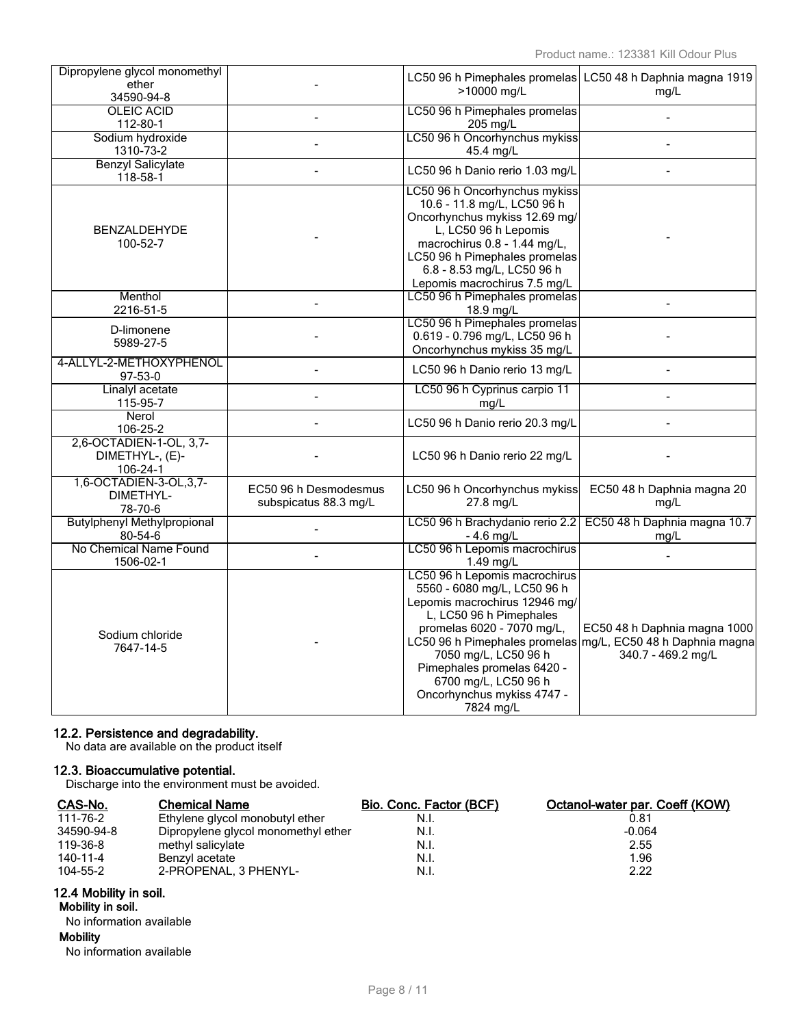| Dipropylene glycol monomethyl<br>ether                 |                                                |                                                                                                                                                                                                                                                                                 | LC50 96 h Pimephales promelas LC50 48 h Daphnia magna 1919                                                        |
|--------------------------------------------------------|------------------------------------------------|---------------------------------------------------------------------------------------------------------------------------------------------------------------------------------------------------------------------------------------------------------------------------------|-------------------------------------------------------------------------------------------------------------------|
| 34590-94-8                                             |                                                | >10000 mg/L                                                                                                                                                                                                                                                                     | mq/L                                                                                                              |
| <b>OLEIC ACID</b><br>112-80-1                          |                                                | LC50 96 h Pimephales promelas<br>205 mg/L                                                                                                                                                                                                                                       | $\overline{a}$                                                                                                    |
| Sodium hydroxide<br>1310-73-2                          |                                                | LC50 96 h Oncorhynchus mykiss<br>45.4 mg/L                                                                                                                                                                                                                                      |                                                                                                                   |
| <b>Benzyl Salicylate</b><br>$118 - 58 - 1$             |                                                | LC50 96 h Danio rerio 1.03 mg/L                                                                                                                                                                                                                                                 | $\overline{a}$                                                                                                    |
| <b>BENZALDEHYDE</b><br>100-52-7                        |                                                | LC50 96 h Oncorhynchus mykiss<br>10.6 - 11.8 mg/L, LC50 96 h<br>Oncorhynchus mykiss 12.69 mg/<br>L, LC50 96 h Lepomis<br>macrochirus 0.8 - 1.44 mg/L,<br>LC50 96 h Pimephales promelas<br>6.8 - 8.53 mg/L, LC50 96 h<br>Lepomis macrochirus 7.5 mg/L                            |                                                                                                                   |
| Menthol<br>2216-51-5                                   |                                                | LC50 96 h Pimephales promelas<br>18.9 mg/L                                                                                                                                                                                                                                      |                                                                                                                   |
| D-limonene<br>5989-27-5                                |                                                | LC50 96 h Pimephales promelas<br>0.619 - 0.796 mg/L, LC50 96 h<br>Oncorhynchus mykiss 35 mg/L                                                                                                                                                                                   |                                                                                                                   |
| 4-ALLYL-2-METHOXYPHENOL<br>97-53-0                     |                                                | LC50 96 h Danio rerio 13 mg/L                                                                                                                                                                                                                                                   |                                                                                                                   |
| Linalyl acetate<br>115-95-7                            |                                                | LC50 96 h Cyprinus carpio 11<br>mg/L                                                                                                                                                                                                                                            | $\overline{a}$                                                                                                    |
| Nerol<br>106-25-2                                      |                                                | LC50 96 h Danio rerio 20.3 mg/L                                                                                                                                                                                                                                                 |                                                                                                                   |
| 2,6-OCTADIEN-1-OL, 3,7-<br>DIMETHYL-, (E)-<br>106-24-1 |                                                | LC50 96 h Danio rerio 22 mg/L                                                                                                                                                                                                                                                   |                                                                                                                   |
| 1,6-OCTADIEN-3-OL, 3, 7-<br>DIMETHYL-<br>78-70-6       | EC50 96 h Desmodesmus<br>subspicatus 88.3 mg/L | LC50 96 h Oncorhynchus mykiss<br>27.8 mg/L                                                                                                                                                                                                                                      | EC50 48 h Daphnia magna 20<br>mg/L                                                                                |
| <b>Butylphenyl Methylpropional</b><br>$80 - 54 - 6$    |                                                | LC50 96 h Brachydanio rerio 2.2<br>$-4.6$ mg/L                                                                                                                                                                                                                                  | EC50 48 h Daphnia magna 10.7<br>mg/L                                                                              |
| No Chemical Name Found<br>1506-02-1                    |                                                | LC50 96 h Lepomis macrochirus<br>$1.49$ mg/L                                                                                                                                                                                                                                    |                                                                                                                   |
| Sodium chloride<br>7647-14-5                           |                                                | LC50 96 h Lepomis macrochirus<br>5560 - 6080 mg/L, LC50 96 h<br>Lepomis macrochirus 12946 mg/<br>L, LC50 96 h Pimephales<br>promelas 6020 - 7070 mg/L,<br>7050 mg/L, LC50 96 h<br>Pimephales promelas 6420 -<br>6700 mg/L, LC50 96 h<br>Oncorhynchus mykiss 4747 -<br>7824 mg/L | EC50 48 h Daphnia magna 1000<br>LC50 96 h Pimephales promelas mg/L, EC50 48 h Daphnia magna<br>340.7 - 469.2 mg/L |

#### **12.2. Persistence and degradability.**

No data are available on the product itself

#### **12.3. Bioaccumulative potential.**

Discharge into the environment must be avoided.

| CAS-No.    | <b>Chemical Name</b>                | <b>Bio. Conc. Factor (BCF)</b> | Octanol-water par. Coeff (KOW) |
|------------|-------------------------------------|--------------------------------|--------------------------------|
| 111-76-2   | Ethylene glycol monobutyl ether     | N.I.                           | 0.81                           |
| 34590-94-8 | Dipropylene glycol monomethyl ether | N.I.                           | $-0.064$                       |
| 119-36-8   | methyl salicylate                   | N.I.                           | 2.55                           |
| 140-11-4   | Benzyl acetate                      | N.I.                           | 1.96                           |
| 104-55-2   | 2-PROPENAL, 3 PHENYL-               | N.I.                           | 2.22                           |

#### **12.4 Mobility in soil.**

#### **Mobility in soil.**

No information available **Mobility** No information available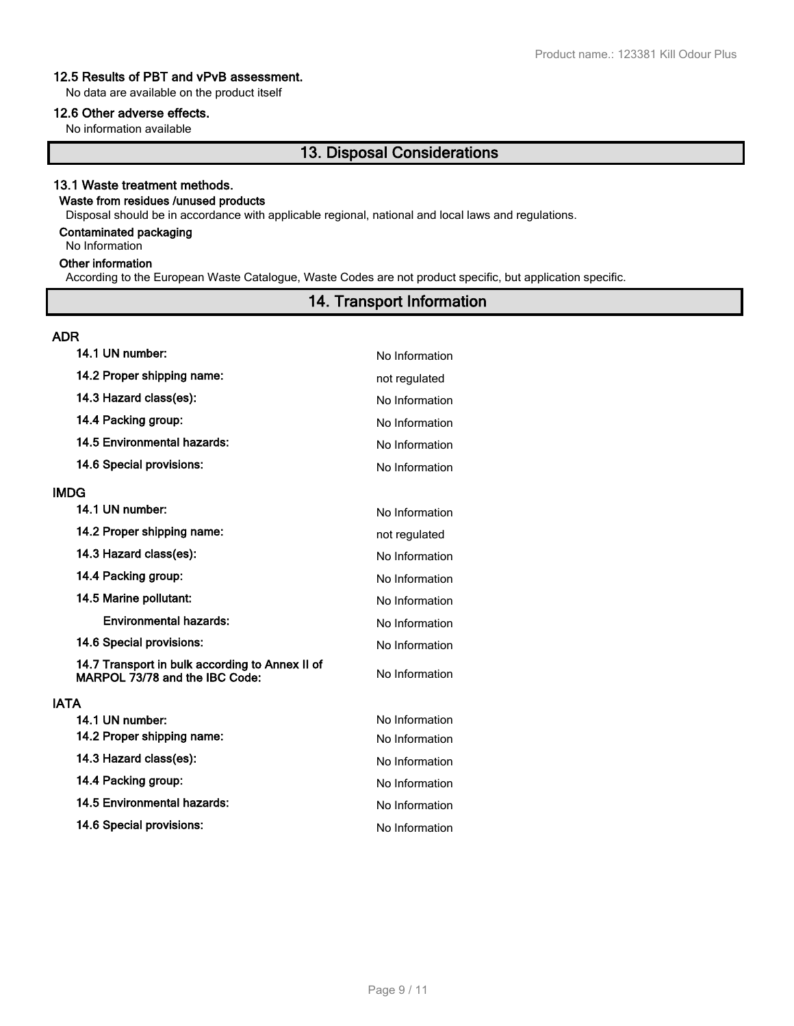#### **12.5 Results of PBT and vPvB assessment.**

No data are available on the product itself

#### **12.6 Other adverse effects.**

No information available

# **13. Disposal Considerations**

#### **13.1 Waste treatment methods.**

# **Waste from residues /unused products**

Disposal should be in accordance with applicable regional, national and local laws and regulations.

#### **Contaminated packaging**

No Information

### **Other information**

According to the European Waste Catalogue, Waste Codes are not product specific, but application specific.

# **14. Transport Information**

| <b>ADR</b>                                                                        |                |
|-----------------------------------------------------------------------------------|----------------|
| 14.1 UN number:                                                                   | No Information |
| 14.2 Proper shipping name:                                                        | not regulated  |
| 14.3 Hazard class(es):                                                            | No Information |
| 14.4 Packing group:                                                               | No Information |
| 14.5 Environmental hazards:                                                       | No Information |
| 14.6 Special provisions:                                                          | No Information |
| <b>IMDG</b>                                                                       |                |
| 14.1 UN number:                                                                   | No Information |
| 14.2 Proper shipping name:                                                        | not regulated  |
| 14.3 Hazard class(es):                                                            | No Information |
| 14.4 Packing group:                                                               | No Information |
| 14.5 Marine pollutant:                                                            | No Information |
| <b>Environmental hazards:</b>                                                     | No Information |
| 14.6 Special provisions:                                                          | No Information |
| 14.7 Transport in bulk according to Annex II of<br>MARPOL 73/78 and the IBC Code: | No Information |
| <b>IATA</b>                                                                       |                |
| 14.1 UN number:                                                                   | No Information |
| 14.2 Proper shipping name:                                                        | No Information |
| 14.3 Hazard class(es):                                                            | No Information |
| 14.4 Packing group:                                                               | No Information |
| 14.5 Environmental hazards:                                                       | No Information |
| 14.6 Special provisions:                                                          | No Information |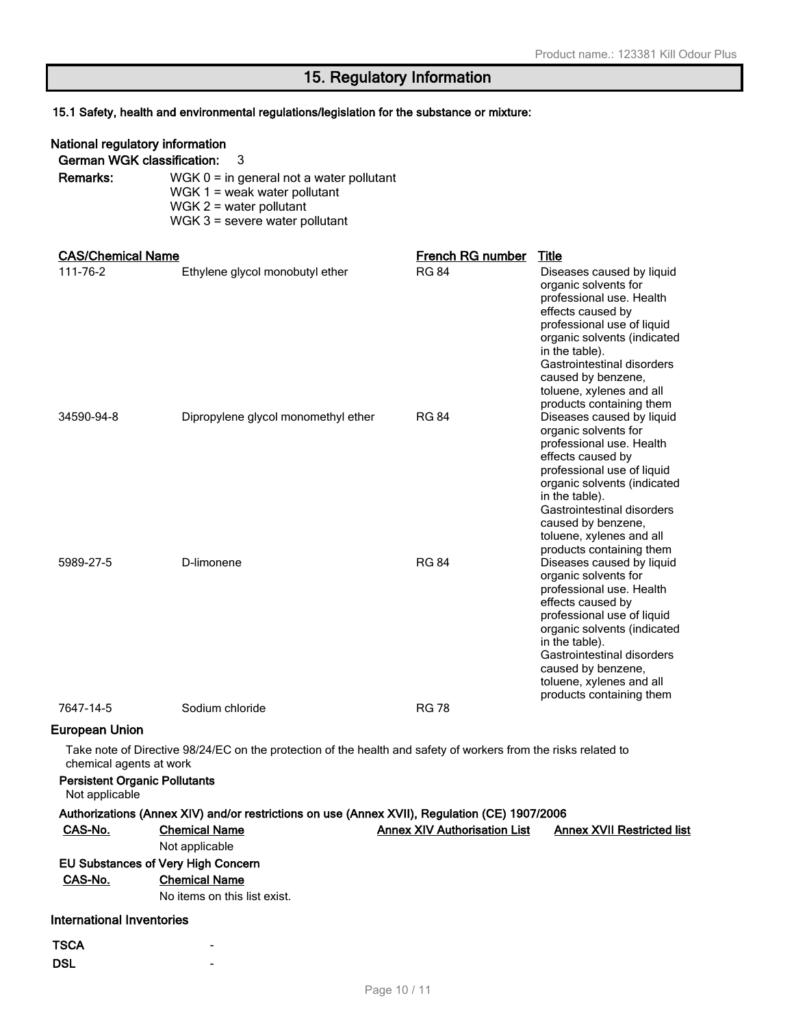# **15. Regulatory Information**

# **15.1 Safety, health and environmental regulations/legislation for the substance or mixture:**

| National regulatory information                                 |                                                                                                                                               |                                     |                                                                                                                                                                                                                                                                                               |
|-----------------------------------------------------------------|-----------------------------------------------------------------------------------------------------------------------------------------------|-------------------------------------|-----------------------------------------------------------------------------------------------------------------------------------------------------------------------------------------------------------------------------------------------------------------------------------------------|
| <b>German WGK classification:</b>                               | 3                                                                                                                                             |                                     |                                                                                                                                                                                                                                                                                               |
| Remarks:                                                        | $WGK 0 = in general not a water pollutant$<br>WGK $1 =$ weak water pollutant<br>$WGK 2$ = water pollutant<br>$WGK$ 3 = severe water pollutant |                                     |                                                                                                                                                                                                                                                                                               |
|                                                                 |                                                                                                                                               |                                     |                                                                                                                                                                                                                                                                                               |
| <b>CAS/Chemical Name</b>                                        |                                                                                                                                               | <b>French RG number</b>             | Title                                                                                                                                                                                                                                                                                         |
| 111-76-2                                                        | Ethylene glycol monobutyl ether                                                                                                               | <b>RG 84</b>                        | Diseases caused by liquid<br>organic solvents for<br>professional use. Health<br>effects caused by<br>professional use of liquid<br>organic solvents (indicated<br>in the table).<br>Gastrointestinal disorders<br>caused by benzene,<br>toluene, xylenes and all<br>products containing them |
| 34590-94-8                                                      | Dipropylene glycol monomethyl ether                                                                                                           | <b>RG 84</b>                        | Diseases caused by liquid<br>organic solvents for<br>professional use. Health<br>effects caused by<br>professional use of liquid<br>organic solvents (indicated<br>in the table).<br>Gastrointestinal disorders<br>caused by benzene,<br>toluene, xylenes and all                             |
| 5989-27-5                                                       | D-limonene                                                                                                                                    | <b>RG 84</b>                        | products containing them<br>Diseases caused by liquid<br>organic solvents for<br>professional use. Health<br>effects caused by<br>professional use of liquid<br>organic solvents (indicated<br>in the table).<br>Gastrointestinal disorders<br>caused by benzene,<br>toluene, xylenes and all |
| 7647-14-5                                                       | Sodium chloride                                                                                                                               | <b>RG78</b>                         | products containing them                                                                                                                                                                                                                                                                      |
| <b>European Union</b>                                           |                                                                                                                                               |                                     |                                                                                                                                                                                                                                                                                               |
| chemical agents at work<br><b>Persistent Organic Pollutants</b> | Take note of Directive 98/24/EC on the protection of the health and safety of workers from the risks related to                               |                                     |                                                                                                                                                                                                                                                                                               |
| Not applicable                                                  | Authorizations (Annex XIV) and/or restrictions on use (Annex XVII), Regulation (CE) 1907/2006                                                 |                                     |                                                                                                                                                                                                                                                                                               |
| CAS-No.                                                         | <b>Chemical Name</b><br>Not applicable                                                                                                        | <b>Annex XIV Authorisation List</b> | <b>Annex XVII Restricted list</b>                                                                                                                                                                                                                                                             |
|                                                                 | <b>EU Substances of Very High Concern</b>                                                                                                     |                                     |                                                                                                                                                                                                                                                                                               |
| CAS-No.                                                         | <b>Chemical Name</b><br>No items on this list exist.                                                                                          |                                     |                                                                                                                                                                                                                                                                                               |
| <b>International Inventories</b>                                |                                                                                                                                               |                                     |                                                                                                                                                                                                                                                                                               |
| <b>TSCA</b>                                                     |                                                                                                                                               |                                     |                                                                                                                                                                                                                                                                                               |
| <b>DSL</b>                                                      |                                                                                                                                               |                                     |                                                                                                                                                                                                                                                                                               |